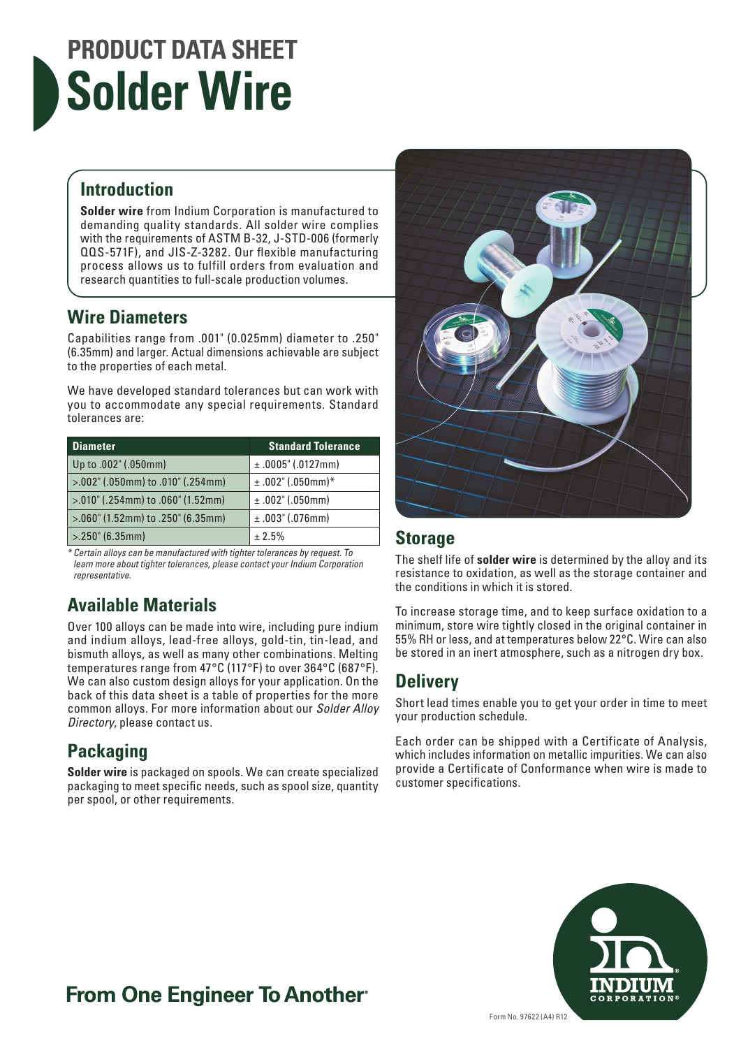# **PRODUCT DATA SHEET Solder Wire**

#### **Introduction**

**Solder wire** from Indium Corporation is manufactured to demanding quality standards. All solder wire complies with the requirements of ASTM B-32, J-STD-006 (formerly QQS-571F), and JIS-Z-3282. Our flexible manufacturing process allows us to fulfill orders from evaluation and research quantities to full-scale production volumes.

#### **Wire Diameters**

Capabilities range from .001" (0.025mm) diameter to .250" (6.35mm) and larger. Actual dimensions achievable are subject to the properties of each metal.

We have developed standard tolerances but can work with you to accommodate any special requirements. Standard tolerances are:

| <b>Diameter</b>                        | <b>Standard Tolerance</b> |
|----------------------------------------|---------------------------|
| Up to .002" (.050mm)                   | $±.0005$ " (.0127mm)      |
| >.002" (.050mm) to .010" (.254mm)      | $±.002$ " (.050mm)*       |
| $> 0.010$ " (.254mm) to .060" (1.52mm) | ±.002" (.050mm)           |
| $> 0.060$ " (1.52mm) to .250" (6.35mm) | $±.003$ " (.076mm)        |
| $>250$ " (6.35mm)                      | ± 2.5%                    |

*\* Certain alloys can be manufactured with tighter tolerances by request. To learn more about tighter tolerances, please contact your Indium Corporation representative.*

#### **Available Materials**

Over 100 alloys can be made into wire, including pure indium and indium alloys, lead-free alloys, gold-tin, tin-lead, and bismuth alloys, as well as many other combinations. Melting temperatures range from 47°C (117°F) to over 364°C (687°F). We can also custom design alloys for your application. On the back of this data sheet is a table of properties for the more common alloys. For more information about our *Solder Alloy Directory*, please contact us.

#### **Packaging**

**Solder wire** is packaged on spools. We can create specialized packaging to meet specific needs, such as spool size, quantity per spool, or other requirements.



The shelf life of **solder wire** is determined by the alloy and its resistance to oxidation, as well as the storage container and the conditions in which it is stored.

To increase storage time, and to keep surface oxidation to a minimum, store wire tightly closed in the original container in 55% RH or less, and at temperatures below 22°C. Wire can also be stored in an inert atmosphere, such as a nitrogen dry box.

#### **Delivery**

Short lead times enable you to get your order in time to meet your production schedule.

Each order can be shipped with a Certificate of Analysis, which includes information on metallic impurities. We can also provide a Certificate of Conformance when wire is made to customer specifications.



### **From One Engineer To Another**®

Form No. 97622 (A4) R12